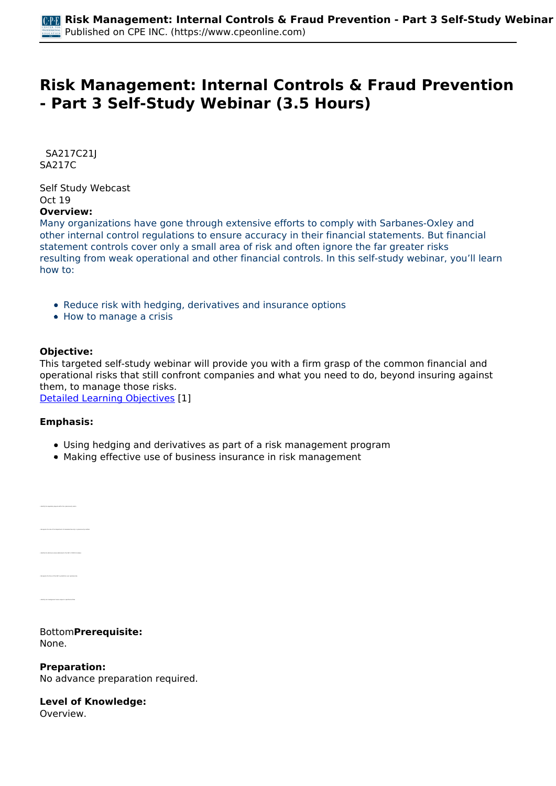# **Risk Management: Internal Controls & Fraud Prevention - Part 3 Self-Study Webinar (3.5 Hours)**

 *SA217C21J SA217C* 

*Self Study Webcast Oct 19*  **Overview:** 

#### *Many organizations have gone through extensive efforts to comply with Sarbanes-Oxley and other internal control regulations to ensure accuracy in their financial statements. But financial statement controls cover only a small area of risk and often ignore the far greater risks resulting from weak operational and other financial controls. In this self-study webinar, you'll learn how to:*

- *Reduce risk with hedging, derivatives and insurance options*
- *How to manage a crisis*

### **Objective:**

*This targeted self-study webinar will provide you with a firm grasp of the common financial and operational risks that still confront companies and what you need to do, beyond insuring against them, to manage those risks.*

*[Detailed Learning Objectives](https://www.cpeonline.com/JavaScript:showObjectivesPopup();) [1]*

#### **Emphasis:**

- *Using hedging and derivatives as part of a risk management program*
- *Making effective use of business insurance in risk management*

*• Identify the disclosure areas addressed in the SEC's COVID-19 release*

#### *Bottom***Prerequisite:**  *None.*

**Preparation:**  *No advance preparation required.*

# **Level of Knowledge:**

*Overview.*